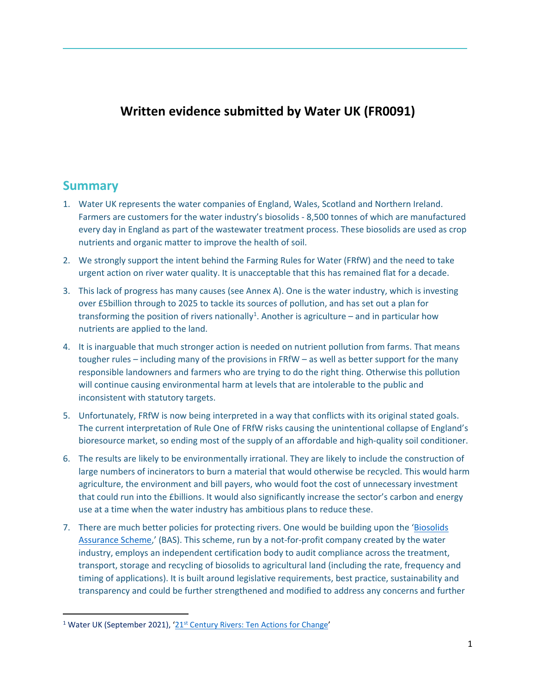## **Written evidence submitted by Water UK (FR0091)**

## **Summary**

- 1. Water UK represents the water companies of England, Wales, Scotland and Northern Ireland. Farmers are customers for the water industry's biosolids - 8,500 tonnes of which are manufactured every day in England as part of the wastewater treatment process. These biosolids are used as crop nutrients and organic matter to improve the health of soil.
- 2. We strongly support the intent behind the Farming Rules for Water (FRfW) and the need to take urgent action on river water quality. It is unacceptable that this has remained flat for a decade.
- 3. This lack of progress has many causes (see Annex A). One is the water industry, which is investing over £5billion through to 2025 to tackle its sources of pollution, and has set out a plan for transforming the position of rivers nationally<sup>1</sup>. Another is agriculture  $-$  and in particular how nutrients are applied to the land.
- 4. It is inarguable that much stronger action is needed on nutrient pollution from farms. That means tougher rules – including many of the provisions in FRfW – as well as better support for the many responsible landowners and farmers who are trying to do the right thing. Otherwise this pollution will continue causing environmental harm at levels that are intolerable to the public and inconsistent with statutory targets.
- 5. Unfortunately, FRfW is now being interpreted in a way that conflicts with its original stated goals. The current interpretation of Rule One of FRfW risks causing the unintentional collapse of England's bioresource market, so ending most of the supply of an affordable and high-quality soil conditioner.
- 6. The results are likely to be environmentally irrational. They are likely to include the construction of large numbers of incinerators to burn a material that would otherwise be recycled. This would harm agriculture, the environment and bill payers, who would foot the cost of unnecessary investment that could run into the £billions. It would also significantly increase the sector's carbon and energy use at a time when the water industry has ambitious plans to reduce these.
- 7. There are much better policies for protecting rivers. One would be building upon the '[Biosolids](https://assuredbiosolids.co.uk/) [Assurance](https://assuredbiosolids.co.uk/) [Scheme](https://assuredbiosolids.co.uk/),' (BAS). This scheme, run by a not-for-profit company created by the water industry, employs an independent certification body to audit compliance across the treatment, transport, storage and recycling of biosolids to agricultural land (including the rate, frequency and timing of applications). It is built around legislative requirements, best practice, sustainability and transparency and could be further strengthened and modified to address any concerns and further

<sup>&</sup>lt;sup>1</sup> Water UK (September 20[21](https://www.water.org.uk/rivers/wp-content/uploads/2021/09/report.pdf)), '21<sup>[st](https://www.water.org.uk/rivers/wp-content/uploads/2021/09/report.pdf)</sup> [Century](https://www.water.org.uk/rivers/wp-content/uploads/2021/09/report.pdf) [Rivers:](https://www.water.org.uk/rivers/wp-content/uploads/2021/09/report.pdf) [Ten](https://www.water.org.uk/rivers/wp-content/uploads/2021/09/report.pdf) [Actions](https://www.water.org.uk/rivers/wp-content/uploads/2021/09/report.pdf) [for](https://www.water.org.uk/rivers/wp-content/uploads/2021/09/report.pdf) [Change](https://www.water.org.uk/rivers/wp-content/uploads/2021/09/report.pdf)'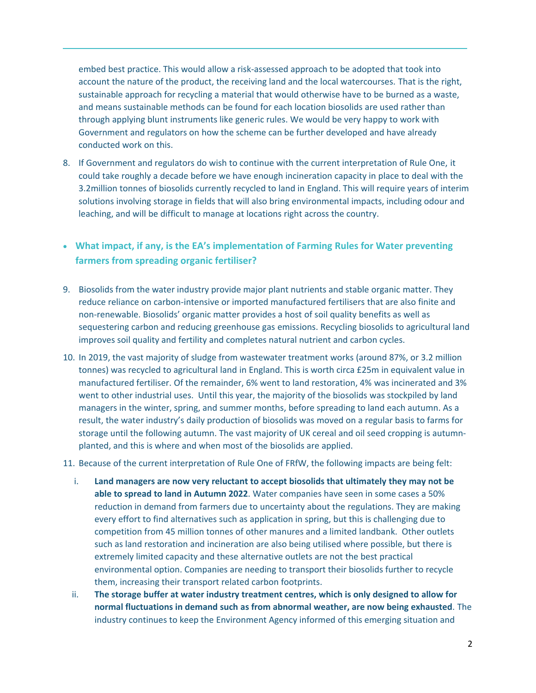embed best practice. This would allow a risk-assessed approach to be adopted that took into account the nature of the product, the receiving land and the local watercourses. That is the right, sustainable approach for recycling a material that would otherwise have to be burned as a waste, and means sustainable methods can be found for each location biosolids are used rather than through applying blunt instruments like generic rules. We would be very happy to work with Government and regulators on how the scheme can be further developed and have already conducted work on this.

- 8. If Government and regulators do wish to continue with the current interpretation of Rule One, it could take roughly a decade before we have enough incineration capacity in place to deal with the 3.2million tonnes of biosolids currently recycled to land in England. This will require years of interim solutions involving storage in fields that will also bring environmental impacts, including odour and leaching, and will be difficult to manage at locations right across the country.
- **What impact, if any, is the EA's implementation of Farming Rules for Water preventing farmers from spreading organic fertiliser?**
- 9. Biosolids from the water industry provide major plant nutrients and stable organic matter. They reduce reliance on carbon-intensive or imported manufactured fertilisers that are also finite and non-renewable. Biosolids' organic matter provides a host of soil quality benefits as well as sequestering carbon and reducing greenhouse gas emissions. Recycling biosolids to agricultural land improves soil quality and fertility and completes natural nutrient and carbon cycles.
- 10. In 2019, the vast majority of sludge from wastewater treatment works (around 87%, or 3.2 million tonnes) was recycled to agricultural land in England. This is worth circa £25m in equivalent value in manufactured fertiliser. Of the remainder, 6% went to land restoration, 4% was incinerated and 3% went to other industrial uses. Until this year, the majority of the biosolids was stockpiled by land managers in the winter, spring, and summer months, before spreading to land each autumn. As a result, the water industry's daily production of biosolids was moved on a regular basis to farms for storage until the following autumn. The vast majority of UK cereal and oil seed cropping is autumnplanted, and this is where and when most of the biosolids are applied.
- 11. Because of the current interpretation of Rule One of FRfW, the following impacts are being felt:
	- i. **Land managers are now very reluctant to accept biosolids that ultimately they may not be able to spread to land in Autumn 2022**. Water companies have seen in some cases a 50% reduction in demand from farmers due to uncertainty about the regulations. They are making every effort to find alternatives such as application in spring, but this is challenging due to competition from 45 million tonnes of other manures and a limited landbank. Other outlets such as land restoration and incineration are also being utilised where possible, but there is extremely limited capacity and these alternative outlets are not the best practical environmental option. Companies are needing to transport their biosolids further to recycle them, increasing their transport related carbon footprints.
	- ii. **The storage buffer at water industry treatment centres, which is only designed to allow for normal fluctuations in demand such as from abnormal weather, are now being exhausted**. The industry continues to keep the Environment Agency informed of this emerging situation and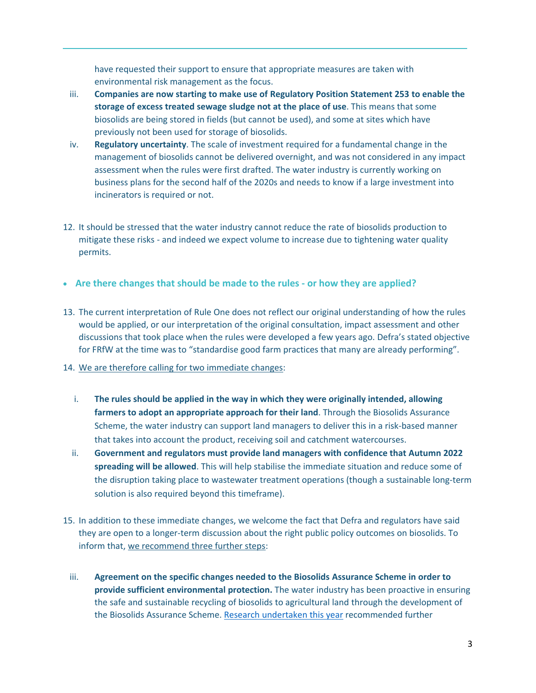have requested their support to ensure that appropriate measures are taken with environmental risk management as the focus.

- iii. **Companies are now starting to make use of Regulatory Position Statement 253 to enable the storage of excess treated sewage sludge not at the place of use**. This means that some biosolids are being stored in fields (but cannot be used), and some at sites which have previously not been used for storage of biosolids.
- iv. **Regulatory uncertainty**. The scale of investment required for a fundamental change in the management of biosolids cannot be delivered overnight, and was not considered in any impact assessment when the rules were first drafted. The water industry is currently working on business plans for the second half of the 2020s and needs to know if a large investment into incinerators is required or not.
- 12. It should be stressed that the water industry cannot reduce the rate of biosolids production to mitigate these risks - and indeed we expect volume to increase due to tightening water quality permits.
- **Are there changes that should be made to the rules - or how they are applied?**
- 13. The current interpretation of Rule One does not reflect our original understanding of how the rules would be applied, or our interpretation of the original consultation, impact assessment and other discussions that took place when the rules were developed a few years ago. Defra's stated objective for FRfW at the time was to "standardise good farm practices that many are already performing".
- 14. We are therefore calling for two immediate changes:
	- i. **The rules should be applied in the way in which they were originally intended, allowing farmers to adopt an appropriate approach for their land**. Through the Biosolids Assurance Scheme, the water industry can support land managers to deliver this in a risk-based manner that takes into account the product, receiving soil and catchment watercourses.
	- ii. **Government and regulators must provide land managers with confidence that Autumn 2022 spreading will be allowed**. This will help stabilise the immediate situation and reduce some of the disruption taking place to wastewater treatment operations (though a sustainable long-term solution is also required beyond this timeframe).
- 15. In addition to these immediate changes, we welcome the fact that Defra and regulators have said they are open to a longer-term discussion about the right public policy outcomes on biosolids. To inform that, we recommend three further steps:
	- iii. **Agreement on the specific changes needed to the Biosolids Assurance Scheme in order to provide sufficient environmental protection.** The water industry has been proactive in ensuring the safe and sustainable recycling of biosolids to agricultural land through the development of the Biosolids Assurance Scheme. [Research](https://assuredbiosolids.co.uk/wp-content/uploads/2021/07/FRFW-biosolids-report.pdf) undertaken this year recommended further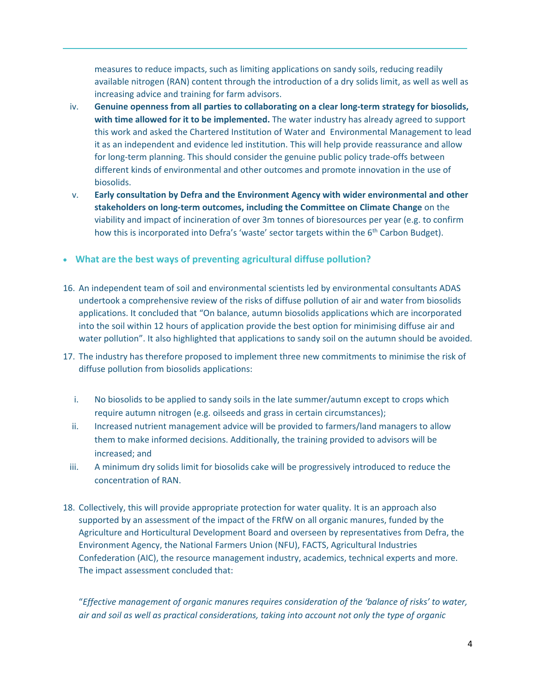measures to reduce impacts, such as limiting applications on sandy soils, reducing readily available nitrogen (RAN) content through the introduction of a dry solids limit, as well as well as increasing advice and training for farm advisors.

- iv. **Genuine openness from all parties to collaborating on a clear long-term strategy for biosolids, with time allowed for it to be implemented.** The water industry has already agreed to support this work and asked the Chartered Institution of Water and Environmental Management to lead it as an independent and evidence led institution. This will help provide reassurance and allow for long-term planning. This should consider the genuine public policy trade-offs between different kinds of environmental and other outcomes and promote innovation in the use of biosolids.
- v. **Early consultation by Defra and the Environment Agency with wider environmental and other stakeholders on long-term outcomes, including the Committee on Climate Change** on the viability and impact of incineration of over 3m tonnes of bioresources per year (e.g. to confirm how this is incorporated into Defra's 'waste' sector targets within the 6<sup>th</sup> Carbon Budget).

## **What are the best ways of preventing agricultural diffuse pollution?**

- 16. An independent team of soil and environmental scientists led by environmental consultants ADAS undertook a [comprehensive](https://assuredbiosolids.co.uk/wp-content/uploads/2021/07/FRFW-biosolids-report.pdf) [review](https://assuredbiosolids.co.uk/wp-content/uploads/2021/07/FRFW-biosolids-report.pdf) of the risks of diffuse pollution of air and water from biosolids applications. It concluded that "On balance, autumn biosolids applications which are incorporated into the soil within 12 hours of application provide the best option for minimising diffuse air and water pollution". It also highlighted that applications to sandy soil on the autumn should be avoided.
- 17. The industry has therefore proposed to implement three new commitments to minimise the risk of diffuse pollution from biosolids applications:
	- i. No biosolids to be applied to sandy soils in the late summer/autumn except to crops which require autumn nitrogen (e.g. oilseeds and grass in certain circumstances);
	- ii. Increased nutrient management advice will be provided to farmers/land managers to allow them to make informed decisions. Additionally, the training provided to advisors will be increased; and
	- iii. A minimum dry solids limit for biosolids cake will be progressively introduced to reduce the concentration of RAN.
- 18. Collectively, this will provide appropriate protection for water quality. It is an approach also supported by an [assessment](https://projectblue.blob.core.windows.net/media/Default/Research%20Papers/FRfW%20impact%20assessment%20June%202021.pdf) [o](https://projectblue.blob.core.windows.net/media/Default/Research%20Papers/FRfW%20impact%20assessment%20June%202021.pdf)f the impact of the FRfW on all organic manures, funded by the Agriculture and Horticultural Development Board and overseen by representatives from Defra, the Environment Agency, the National Farmers Union (NFU), FACTS, Agricultural Industries Confederation (AIC), the resource management industry, academics, technical experts and more. The impact assessment concluded that:

"*Effective management of organic manures requires consideration of the 'balance of risks' to water, air and soil as well as practical considerations, taking into account not only the type of organic*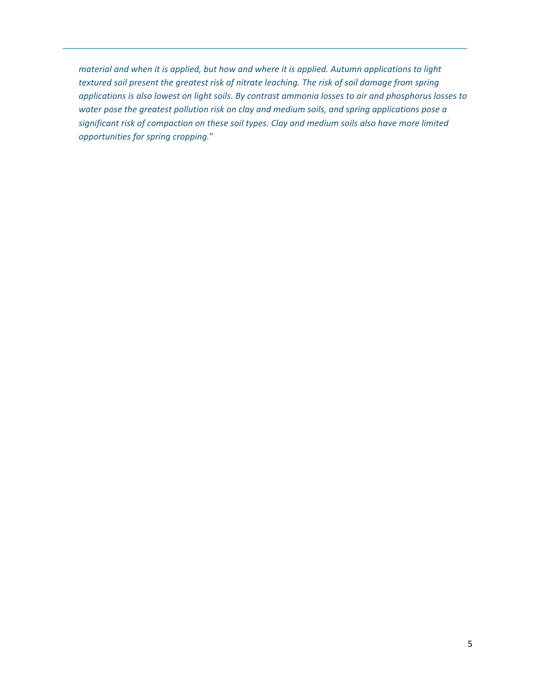*material and when it is applied, but how and where it is applied. Autumn applications to light textured soil present the greatest risk of nitrate leaching. The risk of soil damage from spring applications is also lowest on light soils. By contrast ammonia losses to air and phosphorus losses to water pose the greatest pollution risk on clay and medium soils, and spring applications pose a significant risk of compaction on these soil types. Clay and medium soils also have more limited opportunities for spring cropping.*"